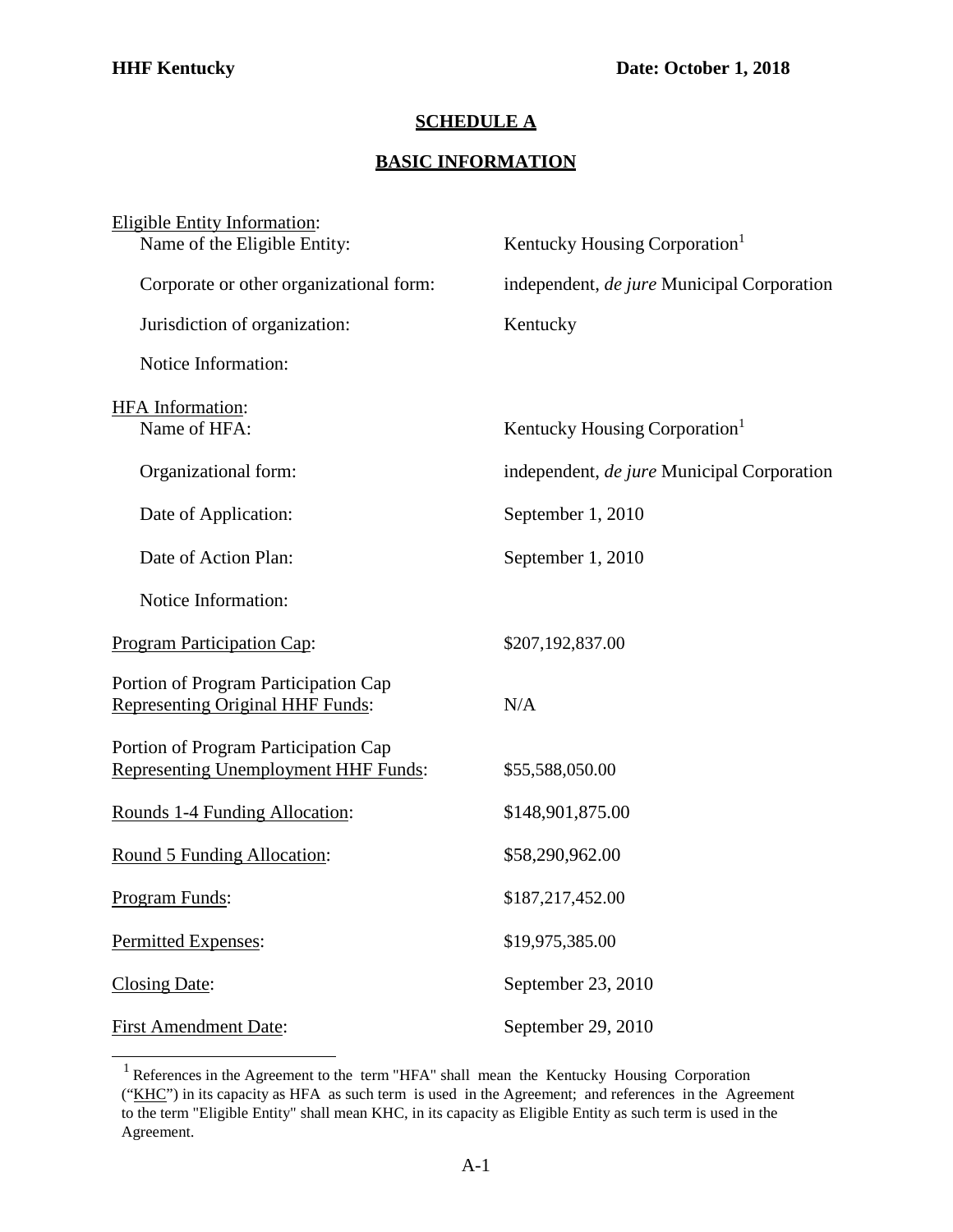## **SCHEDULE A**

## **BASIC INFORMATION**

| <b>Eligible Entity Information:</b><br>Name of the Eligible Entity:                 | Kentucky Housing Corporation <sup>1</sup>  |
|-------------------------------------------------------------------------------------|--------------------------------------------|
| Corporate or other organizational form:                                             | independent, de jure Municipal Corporation |
| Jurisdiction of organization:                                                       | Kentucky                                   |
| Notice Information:                                                                 |                                            |
| HFA Information:<br>Name of HFA:                                                    | Kentucky Housing Corporation <sup>1</sup>  |
| Organizational form:                                                                | independent, de jure Municipal Corporation |
| Date of Application:                                                                | September 1, 2010                          |
| Date of Action Plan:                                                                | September 1, 2010                          |
| Notice Information:                                                                 |                                            |
| <b>Program Participation Cap:</b>                                                   | \$207,192,837.00                           |
| Portion of Program Participation Cap<br><b>Representing Original HHF Funds:</b>     | N/A                                        |
| Portion of Program Participation Cap<br><b>Representing Unemployment HHF Funds:</b> | \$55,588,050.00                            |
| Rounds 1-4 Funding Allocation:                                                      | \$148,901,875.00                           |
| Round 5 Funding Allocation:                                                         | \$58,290,962.00                            |
| Program Funds:                                                                      | \$187,217,452.00                           |
| Permitted Expenses:                                                                 | \$19,975,385.00                            |
| Closing Date:                                                                       | September 23, 2010                         |
| <b>First Amendment Date:</b>                                                        | September 29, 2010                         |

<span id="page-0-0"></span><sup>1</sup> References in the Agreement to the term "HFA" shall mean the Kentucky Housing Corporation ("KHC") in its capacity as HFA as such term is used in the Agreement; and references in the Agreement to the term "Eligible Entity" shall mean KHC, in its capacity as Eligible Entity as such term is used in the Agreement.